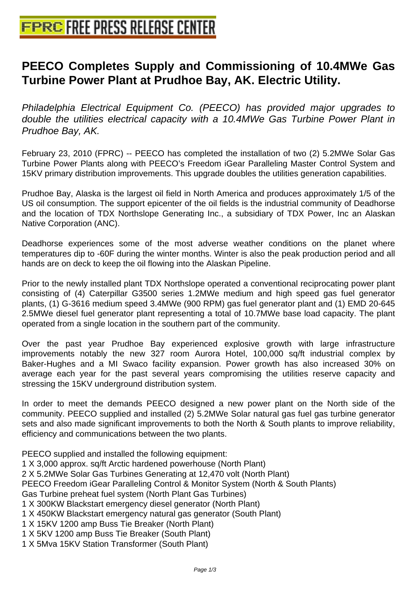## **[PEECO Completes Supply and Co](http://www.free-press-release-center.info)mmissioning of 10.4MWe Gas Turbine Power Plant at Prudhoe Bay, AK. Electric Utility.**

Philadelphia Electrical Equipment Co. (PEECO) has provided major upgrades to double the utilities electrical capacity with a 10.4MWe Gas Turbine Power Plant in Prudhoe Bay, AK.

February 23, 2010 (FPRC) -- PEECO has completed the installation of two (2) 5.2MWe Solar Gas Turbine Power Plants along with PEECO's Freedom iGear Paralleling Master Control System and 15KV primary distribution improvements. This upgrade doubles the utilities generation capabilities.

Prudhoe Bay, Alaska is the largest oil field in North America and produces approximately 1/5 of the US oil consumption. The support epicenter of the oil fields is the industrial community of Deadhorse and the location of TDX Northslope Generating Inc., a subsidiary of TDX Power, Inc an Alaskan Native Corporation (ANC).

Deadhorse experiences some of the most adverse weather conditions on the planet where temperatures dip to -60F during the winter months. Winter is also the peak production period and all hands are on deck to keep the oil flowing into the Alaskan Pipeline.

Prior to the newly installed plant TDX Northslope operated a conventional reciprocating power plant consisting of (4) Caterpillar G3500 series 1.2MWe medium and high speed gas fuel generator plants, (1) G-3616 medium speed 3.4MWe (900 RPM) gas fuel generator plant and (1) EMD 20-645 2.5MWe diesel fuel generator plant representing a total of 10.7MWe base load capacity. The plant operated from a single location in the southern part of the community.

Over the past year Prudhoe Bay experienced explosive growth with large infrastructure improvements notably the new 327 room Aurora Hotel, 100,000 sq/ft industrial complex by Baker-Hughes and a MI Swaco facility expansion. Power growth has also increased 30% on average each year for the past several years compromising the utilities reserve capacity and stressing the 15KV underground distribution system.

In order to meet the demands PEECO designed a new power plant on the North side of the community. PEECO supplied and installed (2) 5.2MWe Solar natural gas fuel gas turbine generator sets and also made significant improvements to both the North & South plants to improve reliability, efficiency and communications between the two plants.

PEECO supplied and installed the following equipment:

1 X 3,000 approx. sq/ft Arctic hardened powerhouse (North Plant)

2 X 5.2MWe Solar Gas Turbines Generating at 12,470 volt (North Plant)

PEECO Freedom iGear Paralleling Control & Monitor System (North & South Plants)

Gas Turbine preheat fuel system (North Plant Gas Turbines)

- 1 X 300KW Blackstart emergency diesel generator (North Plant)
- 1 X 450KW Blackstart emergency natural gas generator (South Plant)
- 1 X 15KV 1200 amp Buss Tie Breaker (North Plant)

1 X 5KV 1200 amp Buss Tie Breaker (South Plant)

1 X 5Mva 15KV Station Transformer (South Plant)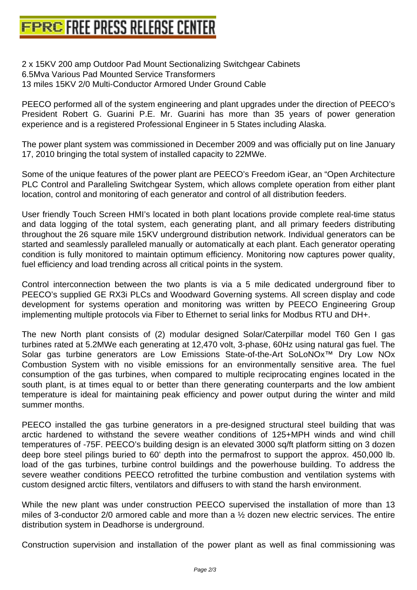[2 x 15KV 200 amp Outdoor Pad Mount Sectionalizin](http://www.free-press-release-center.info)g Switchgear Cabinets 6.5Mva Various Pad Mounted Service Transformers 13 miles 15KV 2/0 Multi-Conductor Armored Under Ground Cable

PEECO performed all of the system engineering and plant upgrades under the direction of PEECO's President Robert G. Guarini P.E. Mr. Guarini has more than 35 years of power generation experience and is a registered Professional Engineer in 5 States including Alaska.

The power plant system was commissioned in December 2009 and was officially put on line January 17, 2010 bringing the total system of installed capacity to 22MWe.

Some of the unique features of the power plant are PEECO's Freedom iGear, an "Open Architecture PLC Control and Paralleling Switchgear System, which allows complete operation from either plant location, control and monitoring of each generator and control of all distribution feeders.

User friendly Touch Screen HMI's located in both plant locations provide complete real-time status and data logging of the total system, each generating plant, and all primary feeders distributing throughout the 26 square mile 15KV underground distribution network. Individual generators can be started and seamlessly paralleled manually or automatically at each plant. Each generator operating condition is fully monitored to maintain optimum efficiency. Monitoring now captures power quality, fuel efficiency and load trending across all critical points in the system.

Control interconnection between the two plants is via a 5 mile dedicated underground fiber to PEECO's supplied GE RX3i PLCs and Woodward Governing systems. All screen display and code development for systems operation and monitoring was written by PEECO Engineering Group implementing multiple protocols via Fiber to Ethernet to serial links for Modbus RTU and DH+.

The new North plant consists of (2) modular designed Solar/Caterpillar model T60 Gen I gas turbines rated at 5.2MWe each generating at 12,470 volt, 3-phase, 60Hz using natural gas fuel. The Solar gas turbine generators are Low Emissions State-of-the-Art SoLoNOx™ Dry Low NOx Combustion System with no visible emissions for an environmentally sensitive area. The fuel consumption of the gas turbines, when compared to multiple reciprocating engines located in the south plant, is at times equal to or better than there generating counterparts and the low ambient temperature is ideal for maintaining peak efficiency and power output during the winter and mild summer months.

PEECO installed the gas turbine generators in a pre-designed structural steel building that was arctic hardened to withstand the severe weather conditions of 125+MPH winds and wind chill temperatures of -75F. PEECO's building design is an elevated 3000 sq/ft platform sitting on 3 dozen deep bore steel pilings buried to 60' depth into the permafrost to support the approx. 450,000 lb. load of the gas turbines, turbine control buildings and the powerhouse building. To address the severe weather conditions PEECO retrofitted the turbine combustion and ventilation systems with custom designed arctic filters, ventilators and diffusers to with stand the harsh environment.

While the new plant was under construction PEECO supervised the installation of more than 13 miles of 3-conductor 2/0 armored cable and more than a ½ dozen new electric services. The entire distribution system in Deadhorse is underground.

Construction supervision and installation of the power plant as well as final commissioning was